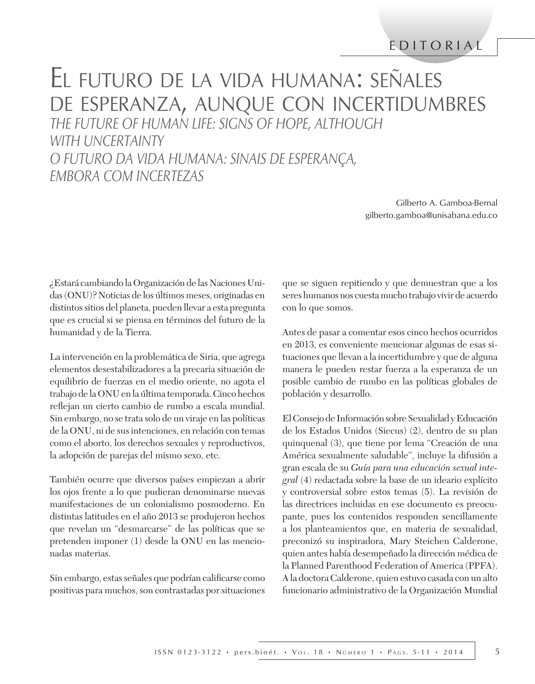## EDITORIAL

## EL FUTURO DE LA VIDA HUMANA: SEÑALES DE ESPERANZA, AUNQUE CON INCERTIDUMBRES THE FUTURE OF HUMAN LIFE: SIGNS OF HOPE, ALTHOUGH **WITH UNCERTAINTY** O FUTURO DA VIDA HUMANA: SINAIS DE ESPERANÇA, **FMBORA COM INCERTEZAS**

Gilberto A. Gamboa-Bernal gilberto.gamboa@unisabana.edu.co

-Estará cambiando la Organización de las Naciones Uni das (ONU)? Noticias de los últimos meses, originadas en distintos sitios del planeta, pueden llevar a esta pregunta que es crucial si se piensa en términos del futuro de la humanidad y de la Tierra.

La intervención en la problemática de Siria, que agrega elementos desestabilizadores a la precaria situación de equilibrio de fuerzas en el medio oriente, no agota el trabajo de la ONU en la última temporada. Cinco hechos reflejan un cierto cambio de rumbo a escala mundial. Sin embargo, no se trata solo de un viraje en las políticas de la ONU, ni de sus intenciones, en relación con temas como el aborto, los derechos sexuales y reproductivos, la adopción de parejas del mismo sexo, etc.

También ocurre que diversos países empiezan a abrir los ojos frente a lo que pudieran denominarse nuevas manifestaciones de un colonialismo posmoderno. En distintas latitudes en el año 2013 se produjeron hechos que revelan un "desmarcarse" de las políticas que se pretenden imponer (1) desde la ONU en las mencionadas materias.

Sin embargo, estas señales que podrían calificarse como positivas para muchos, son contrastadas por situaciones

que se siguen repitiendo y que demuestran que a los seres humanos nos cuesta mucho trabajo vivir de acuerdo con lo que somos.

Antes de pasar a comentar esos cinco hechos ocurridos en 2013, es conveniente mencionar algunas de esas situaciones que llevan a la incertidumbre y que de alguna manera le pueden restar fuerza a la esperanza de un posible cambio de rumbo en las políticas globales de población y desarrollo.

El Consejo de Información sobre Sexualidad y Educación de los Estados Unidos (Siecus) (2), dentro de su plan quinquenal (3), que tiene por lema "Creación de una América sexualmente saludable", incluye la difusión a gran escala de su Guía para una educación sexual integral (4) redactada sobre la base de un ideario explícito y controversial sobre estos temas (5). La revisión de las directrices incluidas en ese documento es preocupante, pues los contenidos responden sencillamente a los planteamientos que, en materia de sexualidad, preconizó su inspiradora, Mary Steichen Calderone, quien antes había desempeñado la dirección médica de la Planned Parenthood Federation of America (PPFA). A la doctora Calderone, quien estuvo casada con un alto funcionario administrativo de la Organización Mundial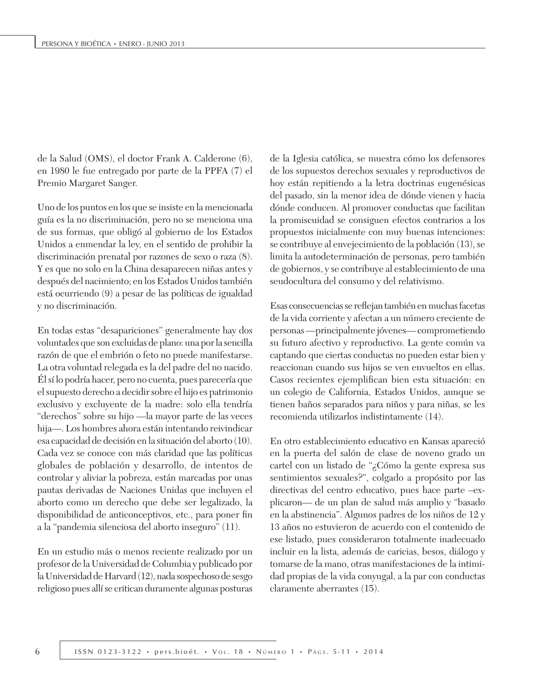de la Salud (OMS), el doctor Frank A. Calderone (6), en 1980 le fue entregado por parte de la PPFA (7) el Premio Margaret Sanger.

Uno de los puntos en los que se insiste en la mencionada guía es la no discriminación, pero no se menciona una de sus formas, que obligó al gobierno de los Estados Unidos a enmendar la ley, en el sentido de prohibir la discriminación prenatal por razones de sexo o raza (8). Y es que no solo en la China desaparecen niñas antes y después del nacimiento; en los Estados Unidos también está ocurriendo (9) a pesar de las políticas de igualdad y no discriminación.

En todas estas "desapariciones" generalmente hay dos voluntades que son excluidas de plano: una por la sencilla razón de que el embrión o feto no puede manifestarse. La otra voluntad relegada es la del padre del no nacido. El sí lo podría hacer, pero no cuenta, pues parecería que el supuesto derecho a decidir sobre el hijo es patrimonio exclusivo y excluyente de la madre: solo ella tendría "derechos" sobre su hijo —la mayor parte de las veces hija-. Los hombres ahora están intentando reivindicar esa capacidad de decisión en la situación del aborto (10). Cada vez se conoce con más claridad que las políticas globales de población y desarrollo, de intentos de controlar y aliviar la pobreza, están marcadas por unas pautas derivadas de Naciones Unidas que incluyen el aborto como un derecho que debe ser legalizado, la disponibilidad de anticonceptivos, etc., para poner fin a la "pandemia silenciosa del aborto inseguro" (11).

En un estudio más o menos reciente realizado por un profesor de la Universidad de Columbia y publicado por la Universidad de Harvard (12), nada sospechoso de sesgo religioso pues allí se critican duramente algunas posturas de la Iglesia católica, se muestra cómo los defensores de los supuestos derechos sexuales y reproductivos de hoy están repitiendo a la letra doctrinas eugenésicas del pasado, sin la menor idea de dónde vienen y hacia dónde conducen. Al promover conductas que facilitan la promiscuidad se consiguen efectos contrarios a los propuestos inicialmente con muy buenas intenciones: se contribuye al envejecimiento de la población (13), se limita la autodeterminación de personas, pero también de gobiernos, y se contribuye al establecimiento de una seudocultura del consumo y del relativismo.

Esas consecuencias se reflejan también en muchas facetas de la vida corriente y afectan a un número creciente de personas — principalmente jóvenes — comprometiendo su futuro afectivo y reproductivo. La gente común va captando que ciertas conductas no pueden estar bien y reaccionan cuando sus hijos se ven envueltos en ellas. Casos recientes ejemplifican bien esta situación: en un colegio de California, Estados Unidos, aunque se tienen baños separados para niños y para niñas, se les recomienda utilizarlos indistintamente (14).

En otro establecimiento educativo en Kansas apareció en la puerta del salón de clase de noveno grado un cartel con un listado de "¿Cómo la gente expresa sus sentimientos sexuales?", colgado a propósito por las directivas del centro educativo, pues hace parte -explicaron— de un plan de salud más amplio y "basado en la abstinencia". Algunos padres de los niños de 12 y 13 años no estuvieron de acuerdo con el contenido de ese listado, pues consideraron totalmente inadecuado incluir en la lista, además de caricias, besos, diálogo y tomarse de la mano, otras manifestaciones de la intimidad propias de la vida conyugal, a la par con conductas claramente aberrantes (15).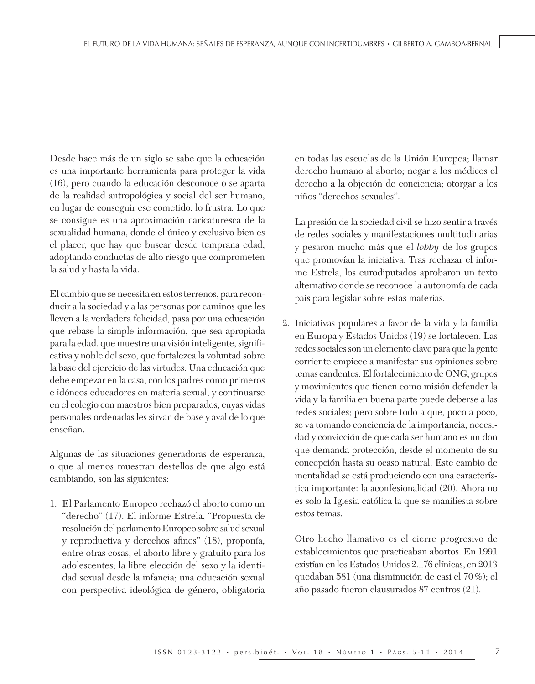Desde hace más de un siglo se sabe que la educación es una importante herramienta para proteger la vida (16), pero cuando la educación desconoce o se aparta de la realidad antropológica y social del ser humano, en lugar de conseguir ese cometido, lo frustra. Lo que se consigue es una aproximación caricaturesca de la sexualidad humana, donde el único y exclusivo bien es el placer, que hay que buscar desde temprana edad, adoptando conductas de alto riesgo que comprometen la salud y hasta la vida.

El cambio que se necesita en estos terrenos, para reconducir a la sociedad y a las personas por caminos que les lleven a la verdadera felicidad, pasa por una educación que rebase la simple información, que sea apropiada para la edad, que muestre una visión inteligente, significativa y noble del sexo, que fortalezca la voluntad sobre la base del ejercicio de las virtudes. Una educación que debe empezar en la casa, con los padres como primeros e idóneos educadores en materia sexual, y continuarse en el colegio con maestros bien preparados, cuyas vidas personales ordenadas les sirvan de base y aval de lo que enseñan.

Algunas de las situaciones generadoras de esperanza, o que al menos muestran destellos de que algo está cambiando, son las siguientes:

1. El Parlamento Europeo rechazó el aborto como un "derecho" (17). El informe Estrela, "Propuesta de resolución del parlamento Europeo sobre salud sexual y reproductiva y derechos afines" (18), proponía, entre otras cosas, el aborto libre y gratuito para los adolescentes; la libre elección del sexo y la identidad sexual desde la infancia; una educación sexual con perspectiva ideológica de género, obligatoria en todas las escuelas de la Unión Europea; llamar derecho humano al aborto; negar a los médicos el derecho a la objeción de conciencia; otorgar a los niños "derechos sexuales".

La presión de la sociedad civil se hizo sentir a través de redes sociales y manifestaciones multitudinarias y pesaron mucho más que el lobby de los grupos que promovían la iniciativa. Tras rechazar el informe Estrela, los eurodiputados aprobaron un texto alternativo donde se reconoce la autonomía de cada país para legislar sobre estas materias.

2. Iniciativas populares a favor de la vida y la familia en Europa y Estados Unidos (19) se fortalecen. Las redes sociales son un elemento clave para que la gente corriente empiece a manifestar sus opiniones sobre temas candentes. El fortalecimiento de ONG, grupos y movimientos que tienen como misión defender la vida y la familia en buena parte puede deberse a las redes sociales; pero sobre todo a que, poco a poco, se va tomando conciencia de la importancia, necesidad y convicción de que cada ser humano es un don que demanda protección, desde el momento de su concepción hasta su ocaso natural. Este cambio de mentalidad se está produciendo con una característica importante: la aconfesionalidad (20). Ahora no es solo la Iglesia católica la que se manifiesta sobre estos temas.

Otro hecho llamativo es el cierre progresivo de establecimientos que practicaban abortos. En 1991 existían en los Estados Unidos 2.176 clínicas, en 2013 quedaban 581 (una disminución de casi el 70%); el año pasado fueron clausurados 87 centros (21).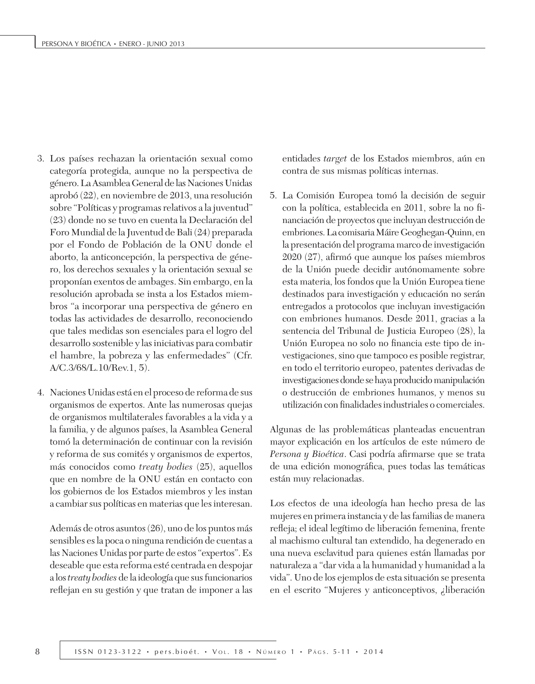- 3. Los países rechazan la orientación sexual como categoría protegida, aunque no la perspectiva de género. La Asamblea General de las Naciones Unidas aprobó (22), en noviembre de 2013, una resolución sobre "Políticas y programas relativos a la juventud" (23) donde no se tuvo en cuenta la Declaración del Foro Mundial de la Juventud de Bali (24) preparada por el Fondo de Población de la ONU donde el aborto, la anticoncepción, la perspectiva de género, los derechos sexuales y la orientación sexual se proponían exentos de ambages. Sin embargo, en la resolución aprobada se insta a los Estados miembros "a incorporar una perspectiva de género en todas las actividades de desarrollo, reconociendo que tales medidas son esenciales para el logro del desarrollo sostenible y las iniciativas para combatir el hambre, la pobreza y las enfermedades" (Cfr.  $A/C.3/68/L.10/Rev.1, 5$ .
- 4. Naciones Unidas está en el proceso de reforma de sus organismos de expertos. Ante las numerosas quejas de organismos multilaterales favorables a la vida y a la familia, y de algunos países, la Asamblea General tomó la determinación de continuar con la revisión y reforma de sus comités y organismos de expertos, más conocidos como *treaty bodies* (25), aquellos que en nombre de la ONU están en contacto con los gobiernos de los Estados miembros y les instan a cambiar sus políticas en materias que les interesan.

Además de otros asuntos (26), uno de los puntos más sensibles es la poca o ninguna rendición de cuentas a las Naciones Unidas por parte de estos "expertos". Es deseable que esta reforma esté centrada en despojar a los treaty bodies de la ideología que sus funcionarios reflejan en su gestión y que tratan de imponer a las entidades *target* de los Estados miembros, aún en contra de sus mismas políticas internas.

5. La Comisión Europea tomó la decisión de seguir con la política, establecida en 2011, sobre la no financiación de proyectos que incluyan destrucción de embriones. La comisaria Máire Geoghegan-Quinn, en la presentación del programa marco de investigación 2020 (27), afirmó que aunque los países miembros de la Unión puede decidir autónomamente sobre esta materia, los fondos que la Unión Europea tiene destinados para investigación y educación no serán entregados a protocolos que incluyan investigación con embriones humanos. Desde 2011, gracias a la sentencia del Tribunal de Justicia Europeo (28), la Unión Europea no solo no financia este tipo de investigaciones, sino que tampoco es posible registrar, en todo el territorio europeo, patentes derivadas de investigaciones donde se haya producido manipulación o destrucción de embriones humanos, y menos su utilización con finalidades industriales o comerciales.

Algunas de las problemáticas planteadas encuentran mayor explicación en los artículos de este número de Persona y Bioética. Casi podría afirmarse que se trata de una edición monográfica, pues todas las temáticas están muy relacionadas.

Los efectos de una ideología han hecho presa de las mujeres en primera instancia y de las familias de manera refleja; el ideal legítimo de liberación femenina, frente al machismo cultural tan extendido, ha degenerado en una nueva esclavitud para quienes están llamadas por naturaleza a "dar vida a la humanidad y humanidad a la vida". Uno de los ejemplos de esta situación se presenta en el escrito "Mujeres y anticonceptivos, ¿liberación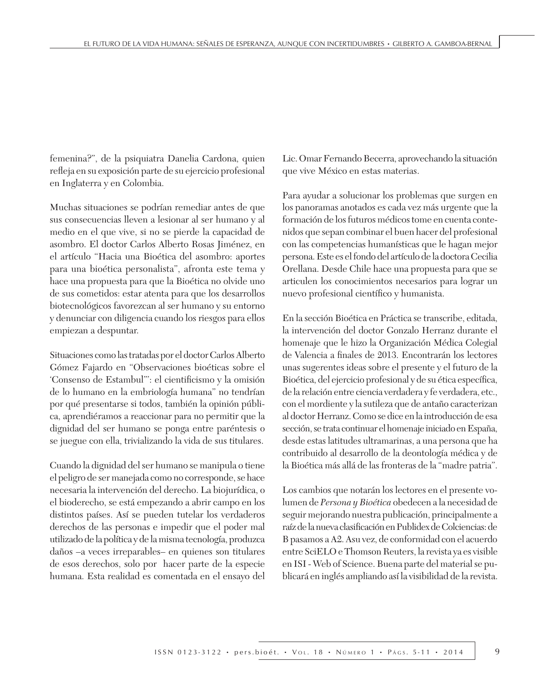femenina?", de la psiquiatra Danelia Cardona, quien refleja en su exposición parte de su ejercicio profesional en Inglaterra y en Colombia.

Muchas situaciones se podrían remediar antes de que sus consecuencias lleven a lesionar al ser humano y al medio en el que vive, si no se pierde la capacidad de asombro. El doctor Carlos Alberto Rosas Jiménez, en el artículo "Hacia una Bioética del asombro: aportes para una bioética personalista", afronta este tema y hace una propuesta para que la Bioética no olvide uno de sus cometidos: estar atenta para que los desarrollos biotecnológicos favorezcan al ser humano y su entorno y denunciar con diligencia cuando los riesgos para ellos empiezan a despuntar.

Situaciones como las tratadas por el doctor Carlos Alberto Gómez Fajardo en "Observaciones bioéticas sobre el 'Consenso de Estambul''': el cientificismo y la omisión de lo humano en la embriología humana" no tendrían por qué presentarse si todos, también la opinión pública, aprendiéramos a reaccionar para no permitir que la dignidad del ser humano se ponga entre paréntesis o se juegue con ella, trivializando la vida de sus titulares.

Cuando la dignidad del ser humano se manipula o tiene el peligro de ser manejada como no corresponde, se hace necesaria la intervención del derecho. La biojurídica, o el bioderecho, se está empezando a abrir campo en los distintos países. Así se pueden tutelar los verdaderos derechos de las personas e impedir que el poder mal utilizado de la política y de la misma tecnología, produzca daños –a veces irreparables– en quienes son titulares de esos derechos, solo por hacer parte de la especie humana. Esta realidad es comentada en el ensayo del

Lic. Omar Fernando Becerra, aprovechando la situación que vive México en estas materias.

Para ayudar a solucionar los problemas que surgen en los panoramas anotados es cada vez más urgente que la formación de los futuros médicos tome en cuenta contenidos que sepan combinar el buen hacer del profesional con las competencias humanísticas que le hagan mejor persona. Este es el fondo del artículo de la doctora Cecilia Orellana. Desde Chile hace una propuesta para que se articulen los conocimientos necesarios para lograr un nuevo profesional científico y humanista.

En la sección Bioética en Práctica se transcribe, editada. la intervención del doctor Gonzalo Herranz durante el homenaje que le hizo la Organización Médica Colegial de Valencia a finales de 2013. Encontrarán los lectores unas sugerentes ideas sobre el presente y el futuro de la Bioética, del ejercicio profesional y de su ética específica, de la relación entre ciencia verdadera y fe verdadera, etc., con el mordiente y la sutileza que de antaño caracterizan al doctor Herranz. Como se dice en la introducción de esa sección, se trata continuar el homenaje iniciado en España, desde estas latitudes ultramarinas, a una persona que ha contribuido al desarrollo de la deontología médica y de la Bioética más allá de las fronteras de la "madre patria".

Los cambios que notarán los lectores en el presente volumen de Persona y Bioética obedecen a la necesidad de seguir mejorando nuestra publicación, principalmente a raíz de la nueva clasificación en Publidex de Colciencias: de B pasamos a A2. Asu vez, de conformidad con el acuerdo entre SciELO e Thomson Reuters, la revista ya es visible en ISI - Web of Science. Buena parte del material se publicará en inglés ampliando así la visibilidad de la revista.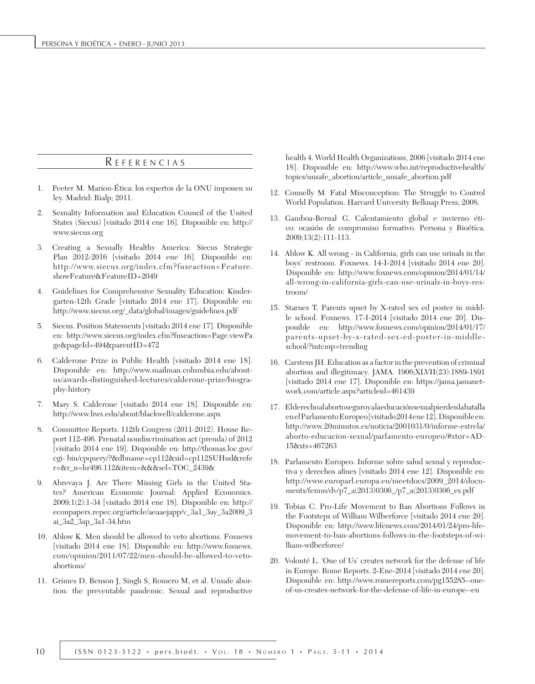## REFERENCIAS

- 1. Peeter M. Marion-Ética: los expertos de la ONU imponen su ley. Madrid: Rialp; 2011.
- Sexuality Information and Education Council of the United 2. States (Siecus) [visitado 2014 ene 16]. Disponible en: http:// www.siecus.org
- 3. Creating a Sexually Healthy America: Siecus Strategic Plan 2012-2016 [visitado 2014 ene 16]. Disponible en: http://www.siecus.org/index.cfm?fuseaction=Feature. showFeature&FeatureID=2049
- Guidelines for Comprehensive Sexuality Education: Kinder- $4.$ garten-12th Grade [visitado 2014 ene 17]. Disponible en: http://www.siecus.org/\_data/global/images/guidelines.pdf
- Siecus. Position Statements [visitado 2014 ene 17]. Disponible 5. en: http://www.siecus.org/index.cfm?fuseaction=Page.viewPa ge&pageId=494&parentID=472
- 6. Calderone Prize in Public Health [visitado 2014 ene 18]. Disponible en: http://www.mailman.columbia.edu/aboutus/awards-distinguished-lectures/calderone-prize/biography-history
- 7. Mary S. Calderone [visitado 2014 ene 18]. Disponible en: http://www.hws.edu/about/blackwell/calderone.aspx
- Committee Reports. 112th Congress (2011-2012). House Re-8. port 112-496. Prenatal nondiscrimination act (prenda) of 2012 [visitado 2014 ene 19]. Disponible en: http://thomas.loc.gov/ cgi-bin/cpquery/?&dbname=cp112&sid=cp112SUHud&refe r=&r\_n=hr496.112&item=&&&sel=TOC\_2439&
- Abrevaya J. Are There Missing Girls in the United States? American Economic Journal: Applied Economics.  $2009;1(2):1-34$  [visitado 2014 ene 18]. Disponible en: http:// econpapers.repec.org/article/aeaaejapp/v\_3a1\_3ay\_3a2009\_3 ai\_3a2\_3ap\_3a1-34.htm
- 10. Ablow K. Men should be allowed to veto abortions. Foxnews [visitado 2014 ene 18]. Disponible en: http://www.foxnews. com/opinion/2011/07/22/men-should-be-allowed-to-vetoabortions/
- 11. Grimes D, Benson J, Singh S, Romero M, et al. Unsafe abortion: the preventable pandemic. Sexual and reproductive

 $10$ 

health 4. World Health Organizations, 2006 [visitado 2014 ene 18]. Disponible en: http://www.who.int/reproductivehealth/ topics/unsafe\_abortion/article\_unsafe\_abortion.pdf

- 12. Connelly M. Fatal Misconception: The Struggle to Control World Population. Harvard University Belknap Press; 2008.
- 13. Gamboa-Bernal G. Calentamiento global e invierno ético: ocasión de compromiso formativo. Persona y Bioética. 2009;13(2):111-113.
- 14. Ablow K. All wrong in California, girls can use urinals in the boys' restroom. Foxnews. 14-I-2014 [visitado 2014 ene 20]. Disponible en: http://www.foxnews.com/opinion/2014/01/14/ all-wrong-in-california-girls-can-use-urinals-in-boys-restroom/
- 15. Starnes T. Parents upset by X-rated sex ed poster in middle school. Foxnews. 17-I-2014 [visitado 2014 ene 20]. Disponible en: http://www.foxnews.com/opinion/2014/01/17/ parents-upset-by-x-rated-sex-ed-poster-in-middleschool/?intemp=trending
- 16. Carstens JH. Education as a factor in the prevention of criminal abortion and illegitimacy. JAMA. 1906;XLVII(23):1889-1891 [visitado 2014 ene 17]. Disponible en: https://jama.jamanetwork.com/article.aspx?articleid=461439
- 17. Elderechoalabortoseguroyalaeducaciónsexualpierdenlabatalla enel Parlamento Europeo [visitado 2014 ene 12]. Disponible en: http://www.20minutos.es/noticia/2001031/0/informe-estrela/ aborto-educacion-sexual/parlamento-europeo/#xtor=AD-15&xts=467263
- 18. Parlamento Europeo. Informe sobre salud sexual y reproductiva y derechos afines [visitado 2014 ene 12]. Disponible en: http://www.europarl.europa.eu/meetdocs/2009\_2014/documents/femm/dv/p7\_a(2013)0306\_/p7\_a(2013)0306\_es.pdf
- 19. Tobias C. Pro-Life Movement to Ban Abortions Follows in the Footsteps of William Wilberforce [visitado 2014 ene 20]. Disponible en: http://www.lifenews.com/2014/01/24/pro-lifemovement-to-ban-abortions-follows-in-the-footsteps-of-william-wilberforce/
- 20. Volonté L. 'One of Us' creates network for the defense of life in Europe. Rome Reports. 2-Ene-2014 [visitado 2014 ene 20]. Disponible en: http://www.romereports.com/pg155285--oneof-us-creates-network-for-the-defense-of-life-in-europe--en